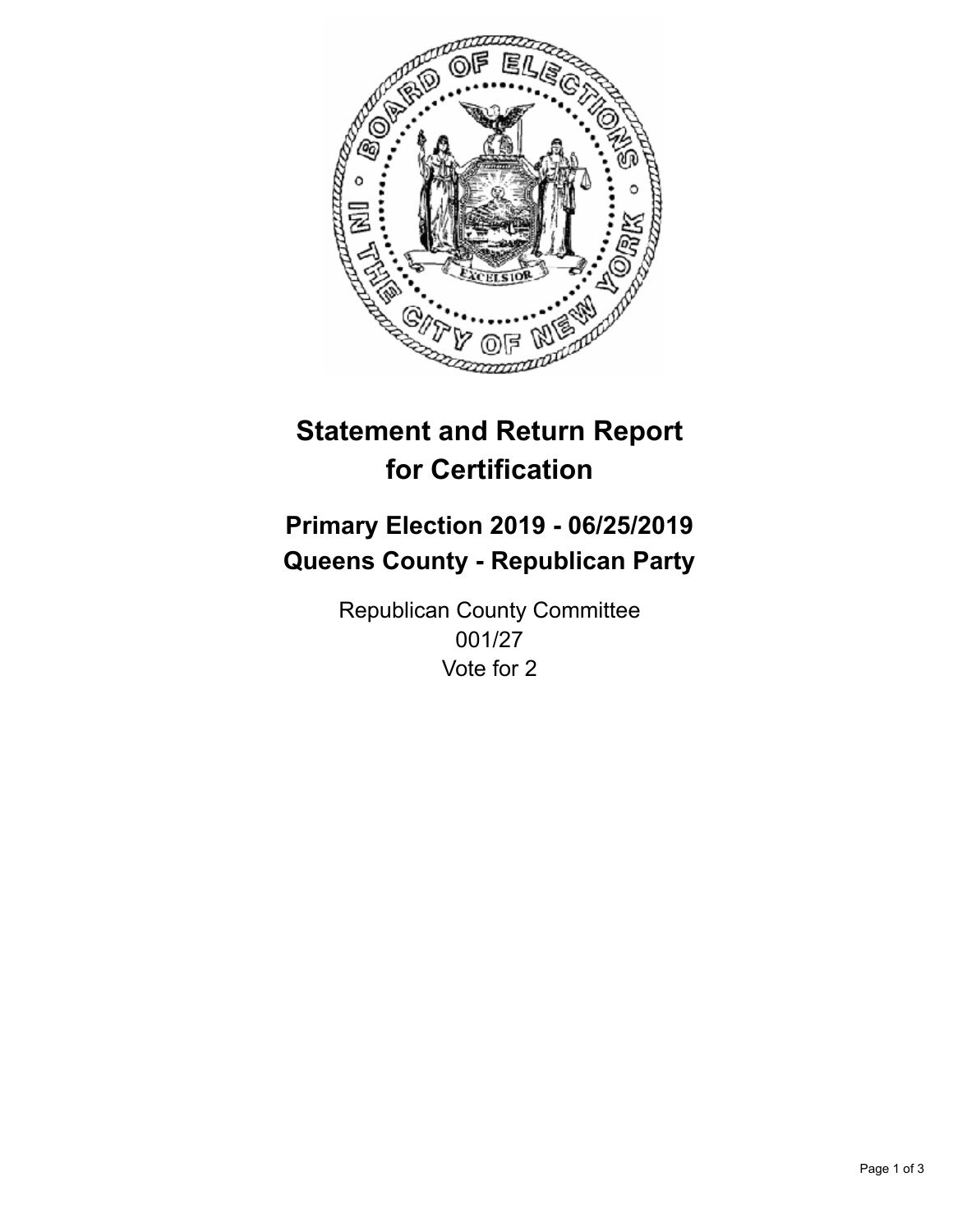

## **Statement and Return Report for Certification**

## **Primary Election 2019 - 06/25/2019 Queens County - Republican Party**

Republican County Committee 001/27 Vote for 2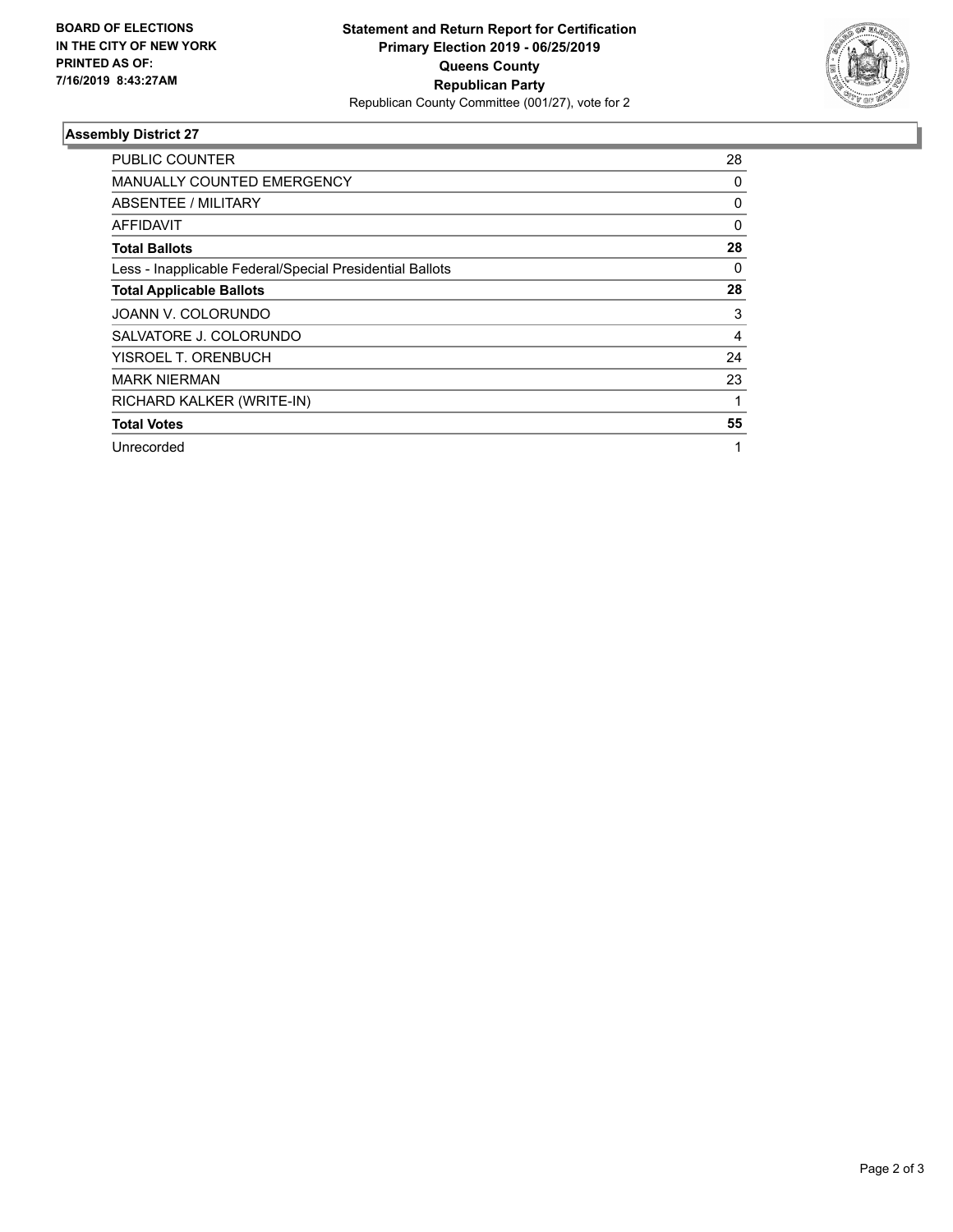

## **Assembly District 27**

| <b>PUBLIC COUNTER</b>                                    | 28 |
|----------------------------------------------------------|----|
| <b>MANUALLY COUNTED EMERGENCY</b>                        | 0  |
| ABSENTEE / MILITARY                                      | 0  |
| <b>AFFIDAVIT</b>                                         | 0  |
| <b>Total Ballots</b>                                     | 28 |
| Less - Inapplicable Federal/Special Presidential Ballots | 0  |
| <b>Total Applicable Ballots</b>                          | 28 |
| JOANN V. COLORUNDO                                       | 3  |
| SALVATORE J. COLORUNDO                                   | 4  |
| YISROEL T. ORENBUCH                                      | 24 |
| <b>MARK NIERMAN</b>                                      | 23 |
| RICHARD KALKER (WRITE-IN)                                |    |
| <b>Total Votes</b>                                       | 55 |
| Unrecorded                                               | 1  |